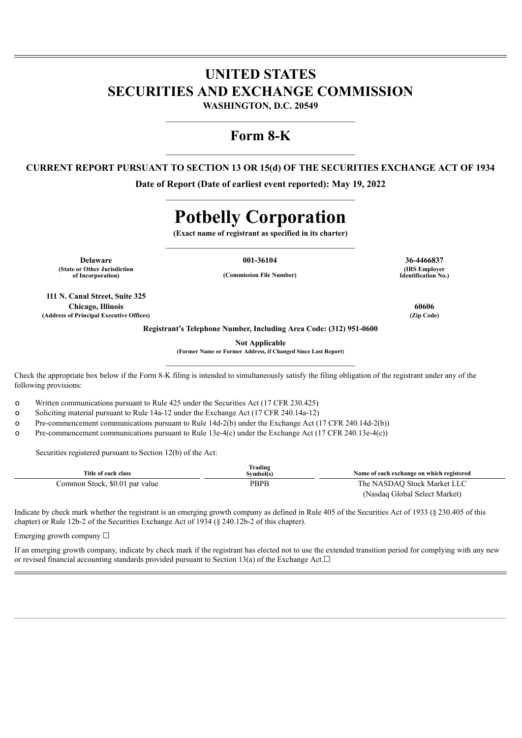# **UNITED STATES SECURITIES AND EXCHANGE COMMISSION**

**WASHINGTON, D.C. 20549** \_\_\_\_\_\_\_\_\_\_\_\_\_\_\_\_\_\_\_\_\_\_\_\_\_\_\_\_\_\_\_\_\_\_\_\_\_\_\_\_

## **Form 8-K**

### **CURRENT REPORT PURSUANT TO SECTION 13 OR 15(d) OF THE SECURITIES EXCHANGE ACT OF 1934**

**Date of Report (Date of earliest event reported): May 19, 2022**  $\mathcal{L}_\text{max}$  and  $\mathcal{L}_\text{max}$  and  $\mathcal{L}_\text{max}$  and  $\mathcal{L}_\text{max}$ 

# **Potbelly Corporation**

**(Exact name of registrant as specified in its charter)**  $\mathcal{L}_\text{max}$  and  $\mathcal{L}_\text{max}$  and  $\mathcal{L}_\text{max}$  and  $\mathcal{L}_\text{max}$ 

**Delaware 001-36104 36-4466837 (State or Other Jurisdiction**

**of Incorporation) (Commission File Number)**

**111 N. Canal Street, Suite 325 Chicago, Illinois 60606 (Address of Principal Executive Offices) (Zip Code)**

**(IRS Employer Identification No.)**

**Registrant's Telephone Number, Including Area Code: (312) 951-0600**

**Not Applicable**

**(Former Name or Former Address, if Changed Since Last Report)**  $\mathcal{L}_\text{max}$  and  $\mathcal{L}_\text{max}$  and  $\mathcal{L}_\text{max}$  and  $\mathcal{L}_\text{max}$ 

Check the appropriate box below if the Form 8-K filing is intended to simultaneously satisfy the filing obligation of the registrant under any of the following provisions:

o Written communications pursuant to Rule 425 under the Securities Act (17 CFR 230.425)

o Soliciting material pursuant to Rule 14a-12 under the Exchange Act (17 CFR 240.14a-12)

o Pre-commencement communications pursuant to Rule 14d-2(b) under the Exchange Act (17 CFR 240.14d-2(b))

o Pre-commencement communications pursuant to Rule 13e-4(c) under the Exchange Act (17 CFR 240.13e-4(c))

Securities registered pursuant to Section 12(b) of the Act:

| Title of each class            | Trading<br>Svmbol(s) | Name of each exchange on which registered |
|--------------------------------|----------------------|-------------------------------------------|
| Common Stock, \$0.01 par value | <b>PBPB</b>          | The NASDAO Stock Market LLC               |
|                                |                      | (Nasdaq Global Select Market)             |

Indicate by check mark whether the registrant is an emerging growth company as defined in Rule 405 of the Securities Act of 1933 (§ 230.405 of this chapter) or Rule 12b-2 of the Securities Exchange Act of 1934 (§ 240.12b-2 of this chapter).

Emerging growth company  $\Box$ 

If an emerging growth company, indicate by check mark if the registrant has elected not to use the extended transition period for complying with any new or revised financial accounting standards provided pursuant to Section 13(a) of the Exchange Act. $□$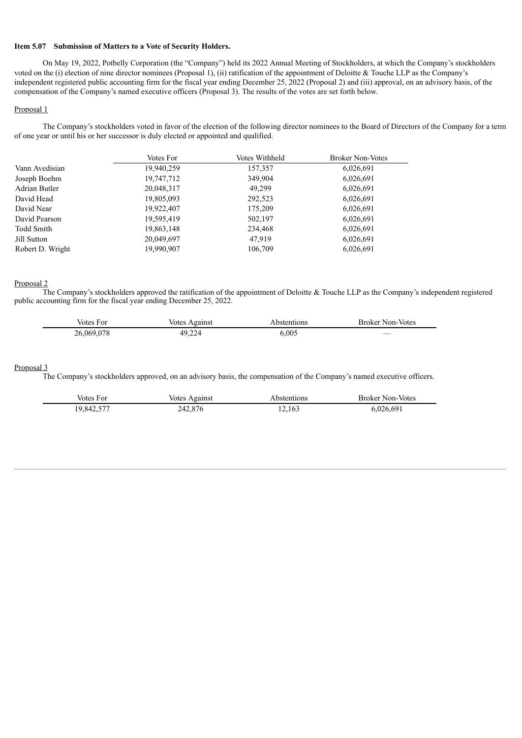#### **Item 5.07 Submission of Matters to a Vote of Security Holders.**

On May 19, 2022, Potbelly Corporation (the "Company") held its 2022 Annual Meeting of Stockholders, at which the Company's stockholders voted on the (i) election of nine director nominees (Proposal 1), (ii) ratification of the appointment of Deloitte & Touche LLP as the Company's independent registered public accounting firm for the fiscal year ending December 25, 2022 (Proposal 2) and (iii) approval, on an advisory basis, of the compensation of the Company's named executive officers (Proposal 3). The results of the votes are set forth below.

#### Proposal 1

The Company's stockholders voted in favor of the election of the following director nominees to the Board of Directors of the Company for a term of one year or until his or her successor is duly elected or appointed and qualified.

|                   | Votes For  | Votes Withheld | <b>Broker Non-Votes</b> |
|-------------------|------------|----------------|-------------------------|
| Vann Avedisian    | 19,940,259 | 157,357        | 6,026,691               |
| Joseph Boehm      | 19,747,712 | 349,904        | 6,026,691               |
| Adrian Butler     | 20,048,317 | 49.299         | 6,026,691               |
| David Head        | 19,805,093 | 292,523        | 6,026,691               |
| David Near        | 19,922,407 | 175.209        | 6,026,691               |
| David Pearson     | 19,595,419 | 502,197        | 6,026,691               |
| <b>Todd Smith</b> | 19,863,148 | 234,468        | 6,026,691               |
| Jill Sutton       | 20,049,697 | 47,919         | 6,026,691               |
| Robert D. Wright  | 19,990,907 | 106,709        | 6,026,691               |

#### Proposal 2

The Company's stockholders approved the ratification of the appointment of Deloitte & Touche LLP as the Company's independent registered public accounting firm for the fiscal year ending December 25, 2022.

| /otes      | <b>Votes</b> | bstentions. | Broker Non-Votes         |
|------------|--------------|-------------|--------------------------|
| FΩT        | Against      | .           |                          |
| 26.069.078 | 49,224       | .005        | $\overline{\phantom{a}}$ |

#### Proposal 3

The Company's stockholders approved, on an advisory basis, the compensation of the Company's named executive officers.

| Votes For  | Votes Against | Abstentions | <b>Broker Non-Votes</b> |
|------------|---------------|-------------|-------------------------|
| 19,842,577 | 242,876       | 12,163      | 6,026,691               |